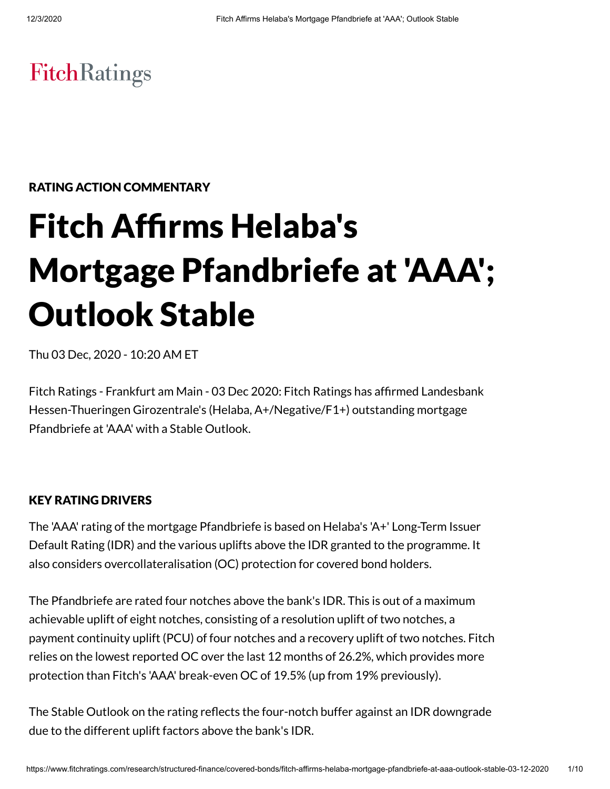# **FitchRatings**

# RATING ACTION COMMENTARY

# Fitch Affirms Helaba's Mortgage Pfandbriefe at 'AAA'; Outlook Stable

Thu 03 Dec, 2020 - 10:20 AM ET

Fitch Ratings - Frankfurt am Main - 03 Dec 2020: Fitch Ratings has afrmed Landesbank Hessen-Thueringen Girozentrale's (Helaba, A+/Negative/F1+) outstanding mortgage Pfandbriefe at 'AAA' with a Stable Outlook.

# KEY RATING DRIVERS

The 'AAA' rating of the mortgage Pfandbriefe is based on Helaba's 'A+' Long-Term Issuer Default Rating (IDR) and the various uplifts above the IDR granted to the programme. It also considers overcollateralisation (OC) protection for covered bond holders.

The Pfandbriefe are rated four notches above the bank's IDR. This is out of a maximum achievable uplift of eight notches, consisting of a resolution uplift of two notches, a payment continuity uplift (PCU) of four notches and a recovery uplift of two notches. Fitch relies on the lowest reported OC over the last 12 months of 26.2%, which provides more protection than Fitch's 'AAA' break-even OC of 19.5% (up from 19% previously).

The Stable Outlook on the rating reflects the four-notch buffer against an IDR downgrade due to the different uplift factors above the bank's IDR.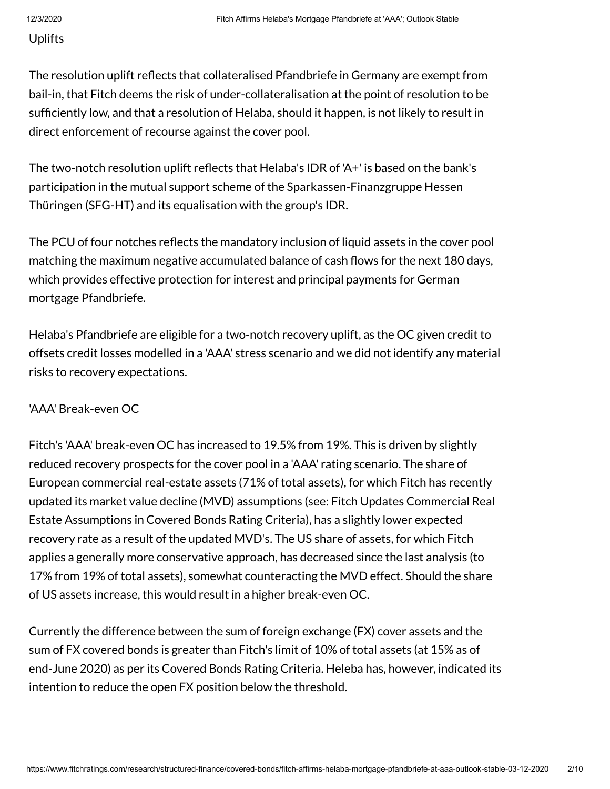#### Uplifts

The resolution uplift reflects that collateralised Pfandbriefe in Germany are exempt from bail-in, that Fitch deems the risk of under-collateralisation at the point of resolution to be sufficiently low, and that a resolution of Helaba, should it happen, is not likely to result in direct enforcement of recourse against the cover pool.

The two-notch resolution uplift reflects that Helaba's IDR of 'A+' is based on the bank's participation in the mutual support scheme of the Sparkassen-Finanzgruppe Hessen Thüringen (SFG-HT) and its equalisation with the group's IDR.

The PCU of four notches reflects the mandatory inclusion of liquid assets in the cover pool matching the maximum negative accumulated balance of cash flows for the next 180 days, which provides effective protection for interest and principal payments for German mortgage Pfandbriefe.

Helaba's Pfandbriefe are eligible for a two-notch recovery uplift, as the OC given credit to offsets credit losses modelled in a 'AAA' stress scenario and we did not identify any material risks to recovery expectations.

# 'AAA' Break-even OC

Fitch's 'AAA' break-even OC has increased to 19.5% from 19%. This is driven by slightly reduced recovery prospects for the cover pool in a 'AAA' rating scenario. The share of European commercial real-estate assets (71% of total assets), for which Fitch has recently updated its market value decline (MVD) assumptions (see: Fitch Updates Commercial Real Estate Assumptions in Covered Bonds Rating Criteria), has a slightly lower expected recovery rate as a result of the updated MVD's. The US share of assets, for which Fitch applies a generally more conservative approach, has decreased since the last analysis (to 17% from 19% of total assets), somewhat counteracting the MVD effect. Should the share of US assets increase, this would result in a higher break-even OC.

Currently the difference between the sum of foreign exchange (FX) cover assets and the sum of FX covered bonds is greater than Fitch's limit of 10% of total assets (at 15% as of end-June 2020) as per its Covered Bonds Rating Criteria. Heleba has, however, indicated its intention to reduce the open FX position below the threshold.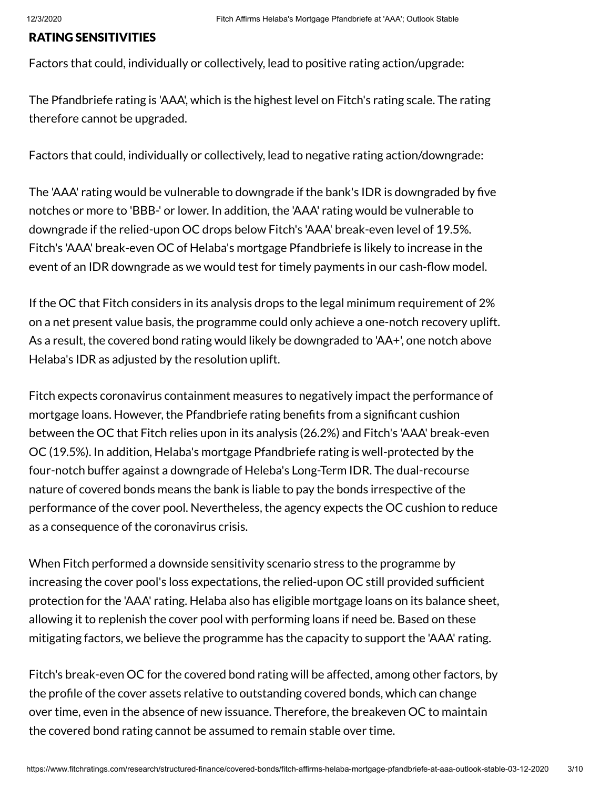#### RATING SENSITIVITIES

Factors that could, individually or collectively, lead to positive rating action/upgrade:

The Pfandbriefe rating is 'AAA', which is the highest level on Fitch's rating scale. The rating therefore cannot be upgraded.

Factors that could, individually or collectively, lead to negative rating action/downgrade:

The 'AAA' rating would be vulnerable to downgrade if the bank's IDR is downgraded by five notches or more to 'BBB-' or lower. In addition, the 'AAA' rating would be vulnerable to downgrade if the relied-upon OC drops below Fitch's 'AAA' break-even level of 19.5%. Fitch's 'AAA' break-even OC of Helaba's mortgage Pfandbriefe is likely to increase in the event of an IDR downgrade as we would test for timely payments in our cash-flow model.

If the OC that Fitch considers in its analysis drops to the legal minimum requirement of 2% on a net present value basis, the programme could only achieve a one-notch recovery uplift. As a result, the covered bond rating would likely be downgraded to 'AA+', one notch above Helaba's IDR as adjusted by the resolution uplift.

Fitch expects coronavirus containment measures to negatively impact the performance of mortgage loans. However, the Pfandbriefe rating benefits from a significant cushion between the OC that Fitch relies upon in its analysis (26.2%) and Fitch's 'AAA' break-even OC (19.5%). In addition, Helaba's mortgage Pfandbriefe rating is well-protected by the four-notch buffer against a downgrade of Heleba's Long-Term IDR. The dual-recourse nature of covered bonds means the bank is liable to pay the bonds irrespective of the performance of the cover pool. Nevertheless, the agency expects the OC cushion to reduce as a consequence of the coronavirus crisis.

When Fitch performed a downside sensitivity scenario stress to the programme by increasing the cover pool's loss expectations, the relied-upon OC still provided sufficient protection for the 'AAA' rating. Helaba also has eligible mortgage loans on its balance sheet, allowing it to replenish the cover pool with performing loans if need be. Based on these mitigating factors, we believe the programme has the capacity to support the 'AAA' rating.

Fitch's break-even OC for the covered bond rating will be affected, among other factors, by the profile of the cover assets relative to outstanding covered bonds, which can change over time, even in the absence of new issuance. Therefore, the breakeven OC to maintain the covered bond rating cannot be assumed to remain stable over time.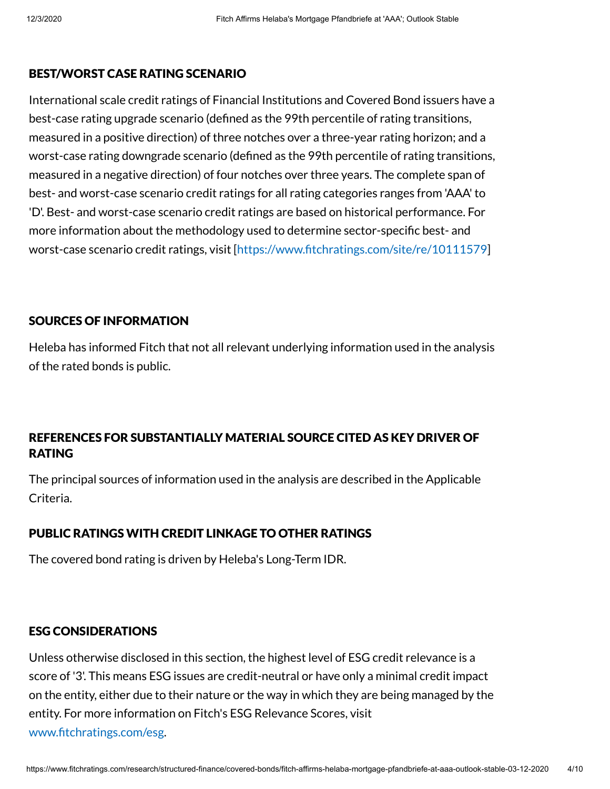### BEST/WORST CASE RATING SCENARIO

International scale credit ratings of Financial Institutions and Covered Bond issuers have a best-case rating upgrade scenario (defined as the 99th percentile of rating transitions, measured in a positive direction) of three notches over a three-year rating horizon; and a worst-case rating downgrade scenario (defined as the 99th percentile of rating transitions, measured in a negative direction) of four notches over three years. The complete span of best- and worst-case scenario credit ratings for all rating categories ranges from 'AAA' to 'D'. Best- and worst-case scenario credit ratings are based on historical performance. For more information about the methodology used to determine sector-specific best- and worst-case scenario credit ratings, visit [https://www.fitchratings.com/site/re/10111579]

### SOURCES OF INFORMATION

Heleba has informed Fitch that not all relevant underlying information used in the analysis of the rated bonds is public.

# REFERENCES FOR SUBSTANTIALLY MATERIAL SOURCE CITED AS KEY DRIVER OF RATING

The principal sources of information used in the analysis are described in the Applicable Criteria.

# PUBLIC RATINGS WITH CREDIT LINKAGE TO OTHER RATINGS

The covered bond rating is driven by Heleba's Long-Term IDR.

### ESG CONSIDERATIONS

Unless otherwise disclosed in this section, the highest level of ESG credit relevance is a score of '3'. This means ESG issues are credit-neutral or have only a minimal credit impact on the entity, either due to their nature or the way in which they are being managed by the entity. For more information on Fitch's ESG Relevance Scores, visit www.fitchratings.com/esg.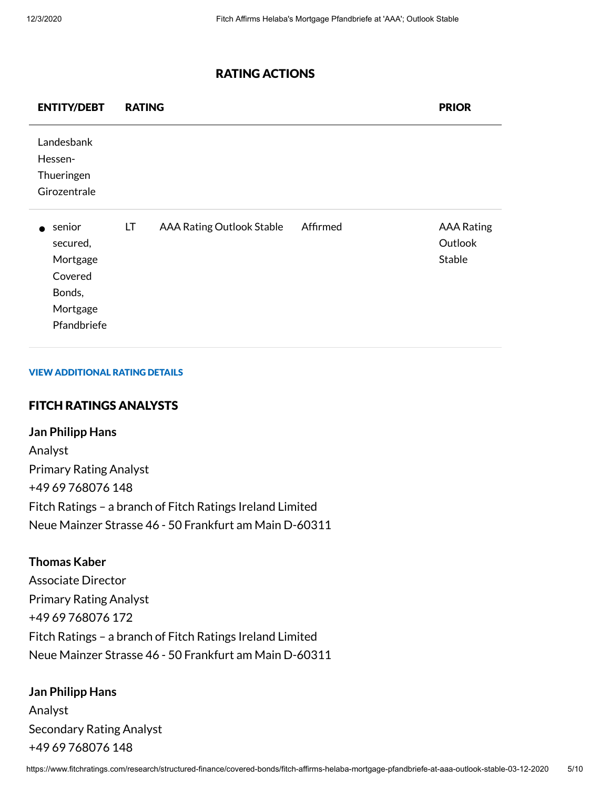#### RATING ACTIONS

| <b>ENTITY/DEBT</b>                                                             | <b>RATING</b> |                                  |          | <b>PRIOR</b>                           |
|--------------------------------------------------------------------------------|---------------|----------------------------------|----------|----------------------------------------|
| Landesbank<br>Hessen-<br>Thueringen<br>Girozentrale                            |               |                                  |          |                                        |
| senior<br>secured,<br>Mortgage<br>Covered<br>Bonds,<br>Mortgage<br>Pfandbriefe | LT            | <b>AAA Rating Outlook Stable</b> | Affirmed | <b>AAA Rating</b><br>Outlook<br>Stable |

#### VIEW ADDITIONAL RATING DETAILS

## FITCH RATINGS ANALYSTS

**Jan Philipp Hans** Analyst Primary Rating Analyst +49 69 768076 148 Fitch Ratings – a branch of Fitch Ratings Ireland Limited Neue Mainzer Strasse 46 - 50 Frankfurt am Main D-60311

#### **Thomas Kaber**

Associate Director Primary Rating Analyst +49 69 768076 172 Fitch Ratings – a branch of Fitch Ratings Ireland Limited Neue Mainzer Strasse 46 - 50 Frankfurt am Main D-60311

## **Jan Philipp Hans**

Analyst Secondary Rating Analyst +49 69 768076 148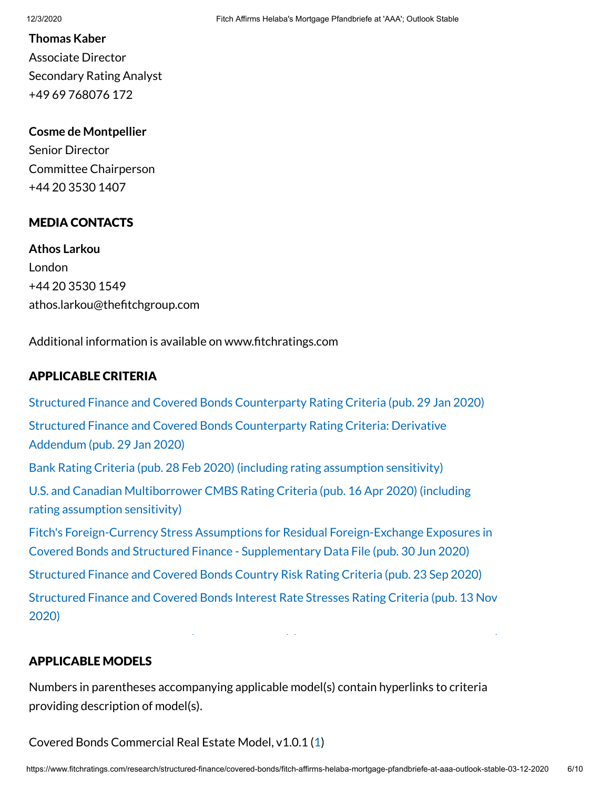#### **Thomas Kaber**

Associate Director Secondary Rating Analyst +49 69 768076 172

#### **Cosme de Montpellier**

Senior Director Committee Chairperson +44 20 3530 1407

#### MEDIA CONTACTS

**Athos Larkou** London +44 20 3530 1549 athos.larkou@thefitchgroup.com

Additional information is available on www.fitchratings.com

#### APPLICABLE CRITERIA

Structured Finance [and Covered Bonds](https://www.fitchratings.com/research/structured-finance/structured-finance-covered-bonds-counterparty-rating-criteria-29-01-2020) Counterparty Rating Criteria (pub. 29 Jan 2020) Structured Finance [and Covered Bonds](https://www.fitchratings.com/research/structured-finance/structured-finance-covered-bonds-counterparty-rating-criteria-derivative-addendum-29-01-2020) Counterparty Rating Criteria: Derivative Addendum (pub. 29 Jan 2020) Bank Rating Criteria (pub. 28 Feb 2020) (including rating [assumption](https://www.fitchratings.com/research/banks/bank-rating-criteria-28-02-2020) sensitivity) U.S. and Canadian [Multiborrower](https://www.fitchratings.com/research/structured-finance/us-canadian-multiborrower-cmbs-rating-criteria-16-04-2020) CMBS Rating Criteria (pub. 16 Apr 2020) (including rating assumption sensitivity) Fitch's Foreign-Currency Stress Assumptions for Residual Foreign-Exchange Exposures in Covered Bonds [and Structured Finance](https://www.fitchratings.com/research/structured-finance/covered-bonds/fitch-foreign-currency-stress-assumptions-for-residual-foreign-exchange-exposures-in-covered-bonds-structured-finance-supplementary-file-30-06-2020) - Supplementary Data File (pub. 30 Jun 2020) Structured Finance [and Covered Bonds](https://www.fitchratings.com/research/structured-finance/structured-finance-covered-bonds-country-risk-rating-criteria-23-09-2020) Country Risk Rating Criteria (pub. 23 Sep 2020) Structured Finance [and Covered Bonds](https://www.fitchratings.com/research/structured-finance/structured-finance-covered-bonds-interest-rate-stresses-rating-criteria-13-11-2020) Interest Rate Stresses Rating Criteria (pub. 13 Nov 2020)

#### APPLICABLE MODELS

Numbers in parentheses accompanying applicable model(s) contain hyperlinks to criteria providing description of model(s).

Covered Bonds Commercial Real Estate Model, v1.0.1 ([1](https://www.fitchratings.com/site/re/985270))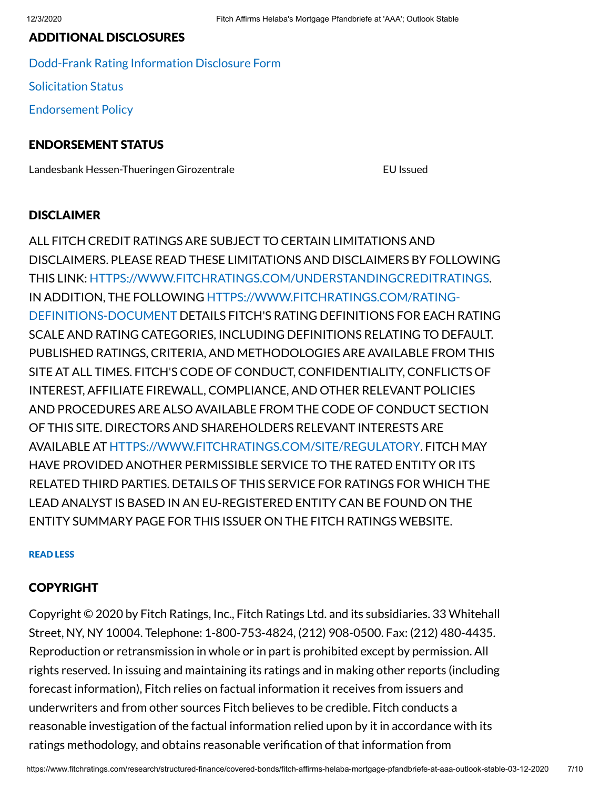#### ADDITIONAL DISCLOSURES

[Dodd-Frank](https://www.fitchratings.com/research/structured-finance/covered-bonds/fitch-affirms-helaba-mortgage-pfandbriefe-at-aaa-outlook-stable-03-12-2020/dodd-frank-disclosure) Rating Information Disclosure Form [Solicitation](#page-8-0) Status [Endorsement](#page-8-1) Policy

#### ENDORSEMENT STATUS

Landesbank Hessen-Thueringen Girozentrale EU Issued

#### **DISCLAIMER**

ALL FITCH CREDIT RATINGS ARE SUBJECT TO CERTAIN LIMITATIONS AND DISCLAIMERS. PLEASE READ THESE LIMITATIONS AND DISCLAIMERS BY FOLLOWING THIS LINK: [HTTPS://WWW.FITCHRATINGS.COM/UNDERSTANDINGCREDITRATINGS](https://www.fitchratings.com/UNDERSTANDINGCREDITRATINGS). IN ADDITION, THE FOLLOWING [HTTPS://WWW.FITCHRATINGS.COM/RATING-](https://www.fitchratings.com/rating-definitions-document)DEFINITIONS-DOCUMENT DETAILS FITCH'S RATING DEFINITIONS FOR EACH RATING SCALE AND RATING CATEGORIES, INCLUDING DEFINITIONS RELATING TO DEFAULT. PUBLISHED RATINGS, CRITERIA, AND METHODOLOGIES ARE AVAILABLE FROM THIS SITE AT ALL TIMES. FITCH'S CODE OF CONDUCT, CONFIDENTIALITY, CONFLICTS OF INTEREST, AFFILIATE FIREWALL, COMPLIANCE, AND OTHER RELEVANT POLICIES AND PROCEDURES ARE ALSO AVAILABLE FROM THE CODE OF CONDUCT SECTION OF THIS SITE. DIRECTORS AND SHAREHOLDERS RELEVANT INTERESTS ARE AVAILABLE AT [HTTPS://WWW.FITCHRATINGS.COM/SITE/REGULATORY](https://www.fitchratings.com/site/regulatory). FITCH MAY HAVE PROVIDED ANOTHER PERMISSIBLE SERVICE TO THE RATED ENTITY OR ITS RELATED THIRD PARTIES. DETAILS OF THIS SERVICE FOR RATINGS FOR WHICH THE LEAD ANALYST IS BASED IN AN EU-REGISTERED ENTITY CAN BE FOUND ON THE ENTITY SUMMARY PAGE FOR THIS ISSUER ON THE FITCH RATINGS WEBSITE.

#### READ LESS

#### COPYRIGHT

Copyright © 2020 by Fitch Ratings, Inc., Fitch Ratings Ltd. and its subsidiaries. 33 Whitehall Street, NY, NY 10004. Telephone: 1-800-753-4824, (212) 908-0500. Fax: (212) 480-4435. Reproduction or retransmission in whole or in part is prohibited except by permission. All rights reserved. In issuing and maintaining its ratings and in making other reports (including forecast information), Fitch relies on factual information it receives from issuers and underwriters and from other sources Fitch believes to be credible. Fitch conducts a reasonable investigation of the factual information relied upon by it in accordance with its ratings methodology, and obtains reasonable verification of that information from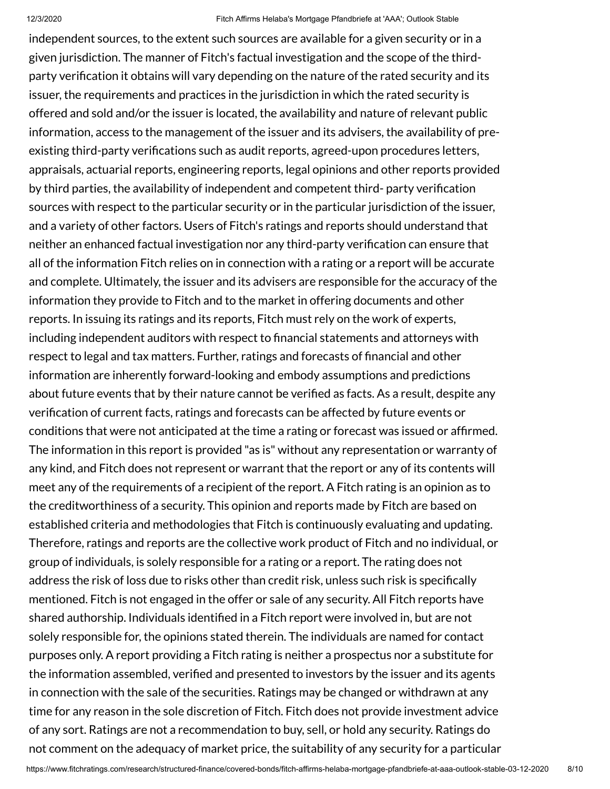independent sources, to the extent such sources are available for a given security or in a given jurisdiction. The manner of Fitch's factual investigation and the scope of the thirdparty verification it obtains will vary depending on the nature of the rated security and its issuer, the requirements and practices in the jurisdiction in which the rated security is offered and sold and/or the issuer is located, the availability and nature of relevant public information, access to the management of the issuer and its advisers, the availability of preexisting third-party verifications such as audit reports, agreed-upon procedures letters, appraisals, actuarial reports, engineering reports, legal opinions and other reports provided by third parties, the availability of independent and competent third- party verification sources with respect to the particular security or in the particular jurisdiction of the issuer, and a variety of other factors. Users of Fitch's ratings and reports should understand that neither an enhanced factual investigation nor any third-party verification can ensure that all of the information Fitch relies on in connection with a rating or a report will be accurate and complete. Ultimately, the issuer and its advisers are responsible for the accuracy of the information they provide to Fitch and to the market in offering documents and other reports. In issuing its ratings and its reports, Fitch must rely on the work of experts, including independent auditors with respect to financial statements and attorneys with respect to legal and tax matters. Further, ratings and forecasts of financial and other information are inherently forward-looking and embody assumptions and predictions about future events that by their nature cannot be verified as facts. As a result, despite any verification of current facts, ratings and forecasts can be affected by future events or conditions that were not anticipated at the time a rating or forecast was issued or afrmed. The information in this report is provided "as is" without any representation or warranty of any kind, and Fitch does not represent or warrant that the report or any of its contents will meet any of the requirements of a recipient of the report. A Fitch rating is an opinion as to the creditworthiness of a security. This opinion and reports made by Fitch are based on established criteria and methodologies that Fitch is continuously evaluating and updating. Therefore, ratings and reports are the collective work product of Fitch and no individual, or group of individuals, is solely responsible for a rating or a report. The rating does not address the risk of loss due to risks other than credit risk, unless such risk is specifically mentioned. Fitch is not engaged in the offer or sale of any security. All Fitch reports have shared authorship. Individuals identified in a Fitch report were involved in, but are not solely responsible for, the opinions stated therein. The individuals are named for contact purposes only. A report providing a Fitch rating is neither a prospectus nor a substitute for the information assembled, verified and presented to investors by the issuer and its agents in connection with the sale of the securities. Ratings may be changed or withdrawn at any time for any reason in the sole discretion of Fitch. Fitch does not provide investment advice of any sort. Ratings are not a recommendation to buy, sell, or hold any security. Ratings do not comment on the adequacy of market price, the suitability of any security for a particular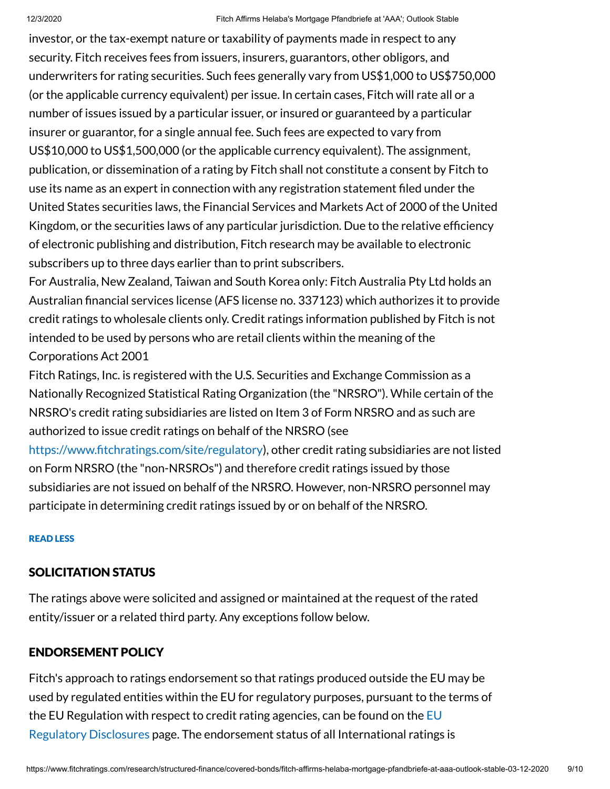investor, or the tax-exempt nature or taxability of payments made in respect to any security. Fitch receives fees from issuers, insurers, guarantors, other obligors, and underwriters for rating securities. Such fees generally vary from US\$1,000 to US\$750,000 (or the applicable currency equivalent) per issue. In certain cases, Fitch will rate all or a number of issues issued by a particular issuer, or insured or guaranteed by a particular insurer or guarantor, for a single annual fee. Such fees are expected to vary from US\$10,000 to US\$1,500,000 (or the applicable currency equivalent). The assignment, publication, or dissemination of a rating by Fitch shall not constitute a consent by Fitch to use its name as an expert in connection with any registration statement filed under the United States securities laws, the Financial Services and Markets Act of 2000 of the United Kingdom, or the securities laws of any particular jurisdiction. Due to the relative efficiency of electronic publishing and distribution, Fitch research may be available to electronic subscribers up to three days earlier than to print subscribers.

For Australia, New Zealand, Taiwan and South Korea only: Fitch Australia Pty Ltd holds an Australian financial services license (AFS license no. 337123) which authorizes it to provide credit ratings to wholesale clients only. Credit ratings information published by Fitch is not intended to be used by persons who are retail clients within the meaning of the Corporations Act 2001

Fitch Ratings, Inc. is registered with the U.S. Securities and Exchange Commission as a Nationally Recognized Statistical Rating Organization (the "NRSRO"). While certain of the NRSRO's credit rating subsidiaries are listed on Item 3 of Form NRSRO and as such are authorized to issue credit ratings on behalf of the NRSRO (see

https://www.fitchratings.com/site/regulatory), other credit rating subsidiaries are not listed on Form NRSRO (the "non-NRSROs") and therefore credit ratings issued by those subsidiaries are not issued on behalf of the NRSRO. However, non-NRSRO personnel may participate in determining credit ratings issued by or on behalf of the NRSRO.

#### READ LESS

### <span id="page-8-0"></span>SOLICITATION STATUS

The ratings above were solicited and assigned or maintained at the request of the rated entity/issuer or a related third party. Any exceptions follow below.

### <span id="page-8-1"></span>ENDORSEMENT POLICY

Fitch's approach to ratings endorsement so that ratings produced outside the EU may be used by regulated entities within the EU for regulatory purposes, pursuant to the terms of the EU Regulation with respect to credit rating agencies, can be found on the  $EU$ Regulatory Disclosures page. The [endorsement](https://www.fitchratings.com/regulatory) status of all International ratings is